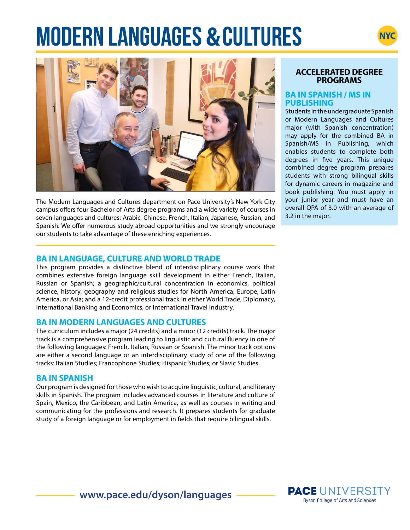# **MODERN LANGUAGES & CULTURES**





The Modern Languages and Cultures department on Pace University's New York City campus offers four Bachelor of Arts degree programs and a wide variety of courses in seven languages and cultures: Arabic, Chinese, French, Italian, Japanese, Russian, and Spanish. We offer numerous study abroad opportunities and we strongly encourage our students to take advantage of these enriching experiences.

#### **ACCELERATED DEGREE PROGRAMS**

#### **BA IN SPANISH / MS IN PUBLISHING**

Students in the undergraduate Spanish or Modern Languages and Cultures major (with Spanish concentration) may apply for the combined BA in Spanish/MS in Publishing, which enables students to complete both degrees in five years. This unique combined degree program prepares students with strong bilingual skills for dynamic careers in magazine and book publishing. You must apply in your junior year and must have an overall QPA of 3.0 with an average of 3.2 in the major.

# **BA IN LANGUAGE, CULTURE AND WORLD TRADE**

This program provides a distinctive blend of interdisciplinary course work that combines extensive foreign language skill development in either French, Italian, Russian or Spanish; a geographic/cultural concentration in economics, political science, history, geography and religious studies for North America, Europe, Latin America, or Asia; and a 12-credit professional track in either World Trade, Diplomacy, International Banking and Economics, or International Travel Industry.

### **BA IN MODERN LANGUAGES AND CULTURES**

The curriculum includes a major (24 credits) and a minor (12 credits) track. The major track is a comprehensive program leading to linguistic and cultural fluency in one of the following languages: French, Italian, Russian or Spanish. The minor track options are either a second language or an interdisciplinary study of one of the following tracks: Italian Studies; Francophone Studies; Hispanic Studies; or Slavic Studies.

# **BA IN SPANISH**

Our program is designed for those who wish to acquire linguistic, cultural, and literary skills in Spanish. The program includes advanced courses in literature and culture of Spain, Mexico, the Caribbean, and Latin America, as well as courses in writing and communicating for the professions and research. It prepares students for graduate study of a foreign language or for employment in fields that require bilingual skills.